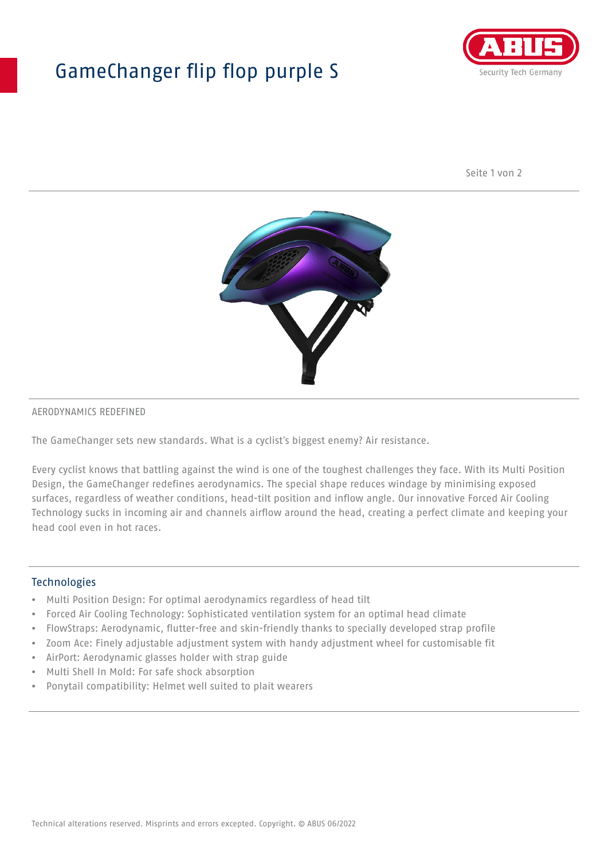## GameChanger flip flop purple S



Seite 1 von 2



#### AERODYNAMICS REDEFINED

The GameChanger sets new standards. What is a cyclist's biggest enemy? Air resistance.

Every cyclist knows that battling against the wind is one of the toughest challenges they face. With its Multi Position Design, the GameChanger redefines aerodynamics. The special shape reduces windage by minimising exposed surfaces, regardless of weather conditions, head-tilt position and inflow angle. Our innovative Forced Air Cooling Technology sucks in incoming air and channels airflow around the head, creating a perfect climate and keeping your head cool even in hot races.

#### Technologies

- Multi Position Design: For optimal aerodynamics regardless of head tilt
- Forced Air Cooling Technology: Sophisticated ventilation system for an optimal head climate
- FlowStraps: Aerodynamic, flutter-free and skin-friendly thanks to specially developed strap profile
- Zoom Ace: Finely adjustable adjustment system with handy adjustment wheel for customisable fit
- AirPort: Aerodynamic glasses holder with strap guide
- Multi Shell In Mold: For safe shock absorption
- Ponytail compatibility: Helmet well suited to plait wearers